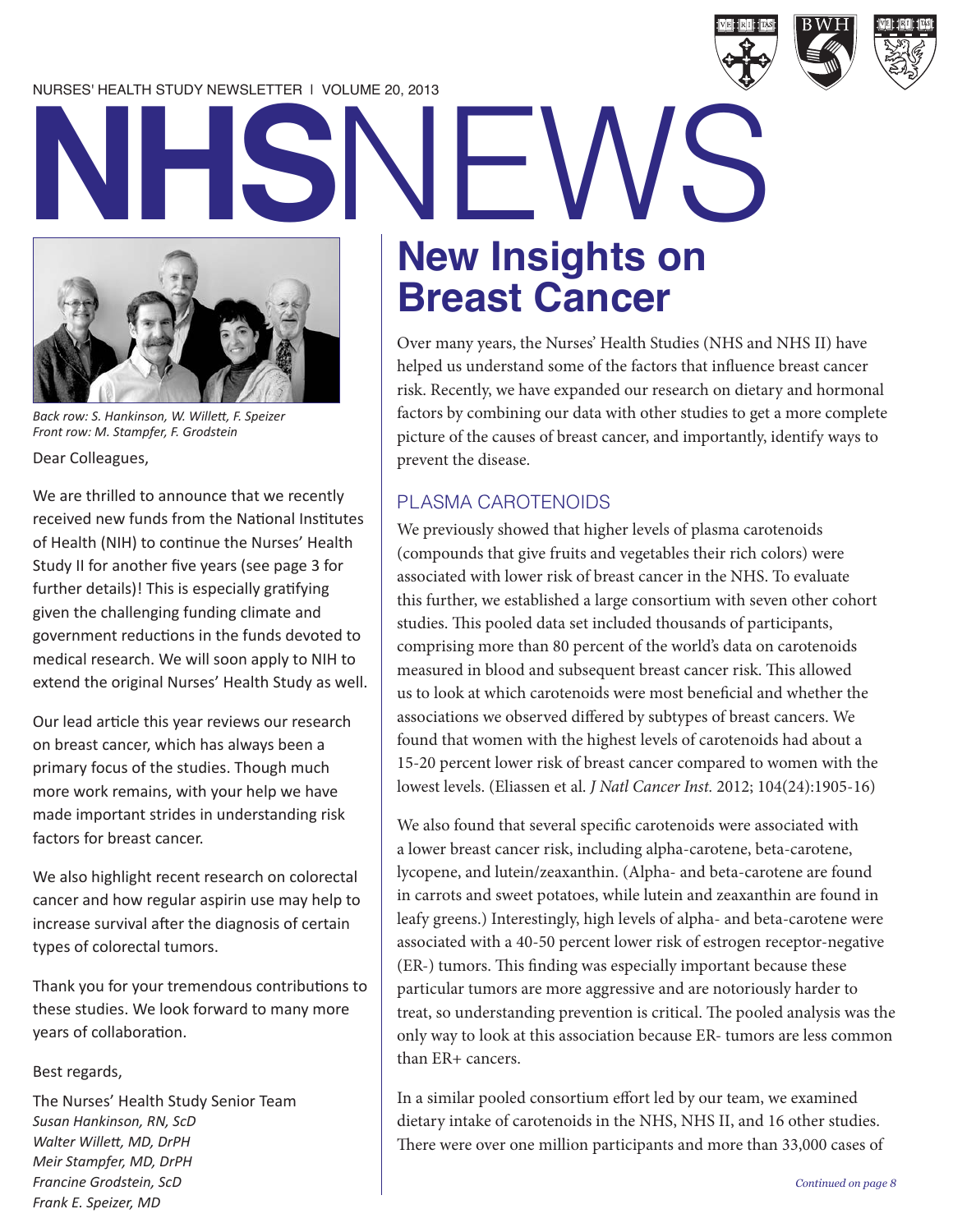#### NURSES' HEALTH STUDY NEWSLETTER | VOLUME 20, 2013



## **New Insights on Breast Cancer NHSNEWS**

Over many years, the Nurses' Health Studies (NHS and NHS II) have helped us understand some of the factors that influence breast cancer risk. Recently, we have expanded our research on dietary and hormonal factors by combining our data with other studies to get a more complete picture of the causes of breast cancer, and importantly, identify ways to prevent the disease.

#### PLASMA CAROTENOIDS

We previously showed that higher levels of plasma carotenoids (compounds that give fruits and vegetables their rich colors) were associated with lower risk of breast cancer in the NHS. To evaluate this further, we established a large consortium with seven other cohort studies. This pooled data set included thousands of participants, comprising more than 80 percent of the world's data on carotenoids measured in blood and subsequent breast cancer risk. This allowed us to look at which carotenoids were most beneficial and whether the associations we observed differed by subtypes of breast cancers. We found that women with the highest levels of carotenoids had about a 15-20 percent lower risk of breast cancer compared to women with the lowest levels. (Eliassen et al. *J Natl Cancer Inst.* 2012; 104(24):1905-16)

We also found that several specific carotenoids were associated with a lower breast cancer risk, including alpha-carotene, beta-carotene, lycopene, and lutein/zeaxanthin. (Alpha- and beta-carotene are found in carrots and sweet potatoes, while lutein and zeaxanthin are found in leafy greens.) Interestingly, high levels of alpha- and beta-carotene were associated with a 40-50 percent lower risk of estrogen receptor-negative (ER-) tumors. This finding was especially important because these particular tumors are more aggressive and are notoriously harder to treat, so understanding prevention is critical. The pooled analysis was the only way to look at this association because ER- tumors are less common than ER+ cancers.

In a similar pooled consortium effort led by our team, we examined dietary intake of carotenoids in the NHS, NHS II, and 16 other studies. There were over one million participants and more than 33,000 cases of



Dear Colleagues,

We are thrilled to announce that we recently received new funds from the National Institutes of Health (NIH) to continue the Nurses' Health Study II for another five years (see page 3 for further details)! This is especially gratifying given the challenging funding climate and government reductions in the funds devoted to medical research. We will soon apply to NIH to extend the original Nurses' Health Study as well.

Our lead article this year reviews our research on breast cancer, which has always been a primary focus of the studies. Though much more work remains, with your help we have made important strides in understanding risk factors for breast cancer.

We also highlight recent research on colorectal cancer and how regular aspirin use may help to increase survival after the diagnosis of certain types of colorectal tumors.

Thank you for your tremendous contributions to these studies. We look forward to many more years of collaboration.

#### Best regards,

The Nurses' Health Study Senior Team *Susan Hankinson, RN, ScD Walter Willett, MD, DrPH Meir Stampfer, MD, DrPH Francine Grodstein, ScD Frank E. Speizer, MD*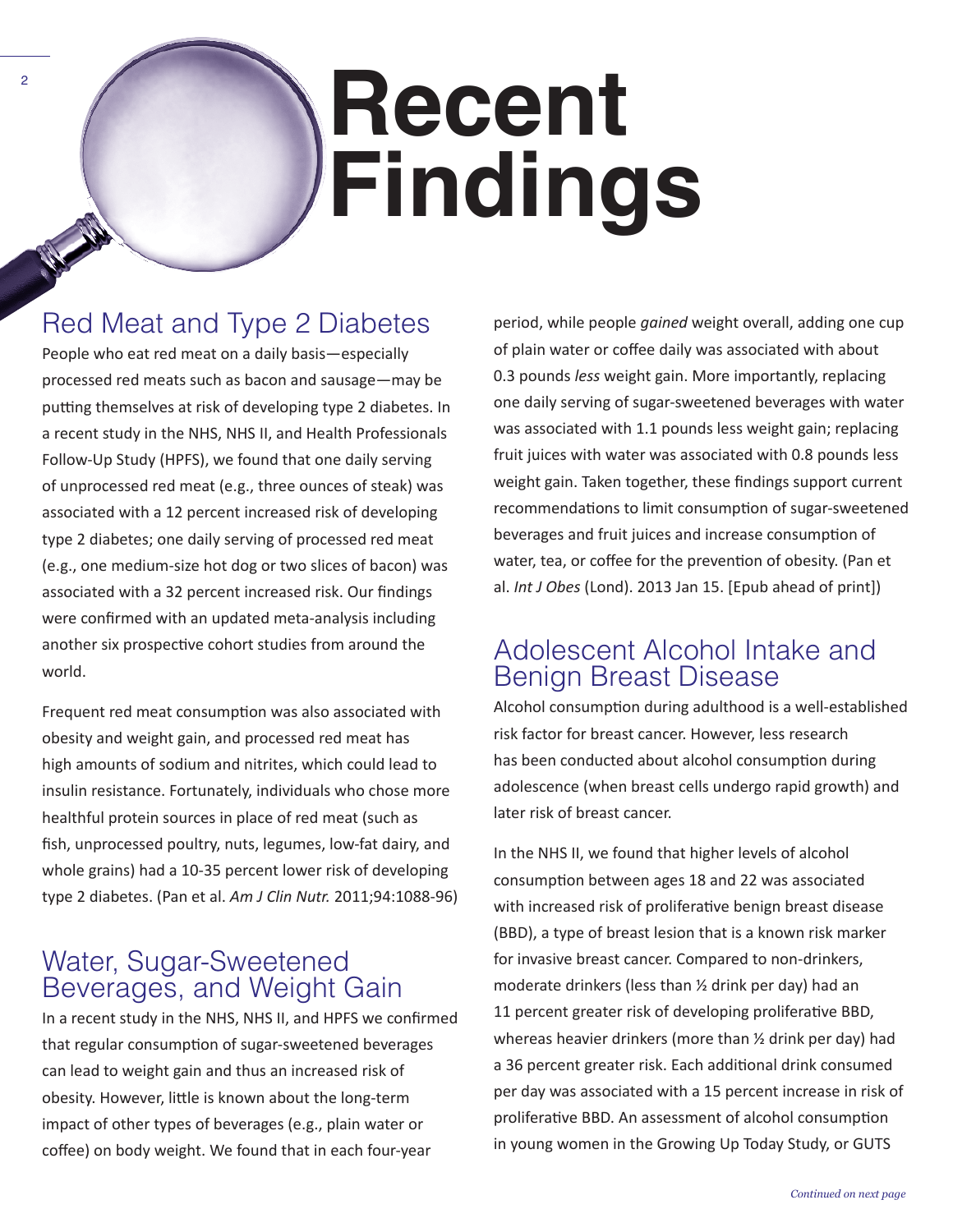## **Recent Findings**

### Red Meat and Type 2 Diabetes

2

People who eat red meat on a daily basis—especially processed red meats such as bacon and sausage—may be putting themselves at risk of developing type 2 diabetes. In a recent study in the NHS, NHS II, and Health Professionals Follow-Up Study (HPFS), we found that one daily serving of unprocessed red meat (e.g., three ounces of steak) was associated with a 12 percent increased risk of developing type 2 diabetes; one daily serving of processed red meat (e.g., one medium-size hot dog or two slices of bacon) was associated with a 32 percent increased risk. Our findings were confirmed with an updated meta-analysis including another six prospective cohort studies from around the world.

Frequent red meat consumption was also associated with obesity and weight gain, and processed red meat has high amounts of sodium and nitrites, which could lead to insulin resistance. Fortunately, individuals who chose more healthful protein sources in place of red meat (such as fish, unprocessed poultry, nuts, legumes, low-fat dairy, and whole grains) had a 10-35 percent lower risk of developing type 2 diabetes. (Pan et al. *Am J Clin Nutr.* 2011;94:1088-96)

#### Water, Sugar-Sweetened Beverages, and Weight Gain

In a recent study in the NHS, NHS II, and HPFS we confirmed that regular consumption of sugar-sweetened beverages can lead to weight gain and thus an increased risk of obesity. However, little is known about the long-term impact of other types of beverages (e.g., plain water or coffee) on body weight. We found that in each four-year

period, while people *gained* weight overall, adding one cup of plain water or coffee daily was associated with about 0.3 pounds *less* weight gain. More importantly, replacing one daily serving of sugar-sweetened beverages with water was associated with 1.1 pounds less weight gain; replacing fruit juices with water was associated with 0.8 pounds less weight gain. Taken together, these findings support current recommendations to limit consumption of sugar-sweetened beverages and fruit juices and increase consumption of water, tea, or coffee for the prevention of obesity. (Pan et al. *Int J Obes* (Lond). 2013 Jan 15. [Epub ahead of print])

#### Adolescent Alcohol Intake and Benign Breast Disease

Alcohol consumption during adulthood is a well-established risk factor for breast cancer. However, less research has been conducted about alcohol consumption during adolescence (when breast cells undergo rapid growth) and later risk of breast cancer.

In the NHS II, we found that higher levels of alcohol consumption between ages 18 and 22 was associated with increased risk of proliferative benign breast disease (BBD), a type of breast lesion that is a known risk marker for invasive breast cancer. Compared to non-drinkers, moderate drinkers (less than ½ drink per day) had an 11 percent greater risk of developing proliferative BBD, whereas heavier drinkers (more than ½ drink per day) had a 36 percent greater risk. Each additional drink consumed per day was associated with a 15 percent increase in risk of proliferative BBD. An assessment of alcohol consumption in young women in the Growing Up Today Study, or GUTS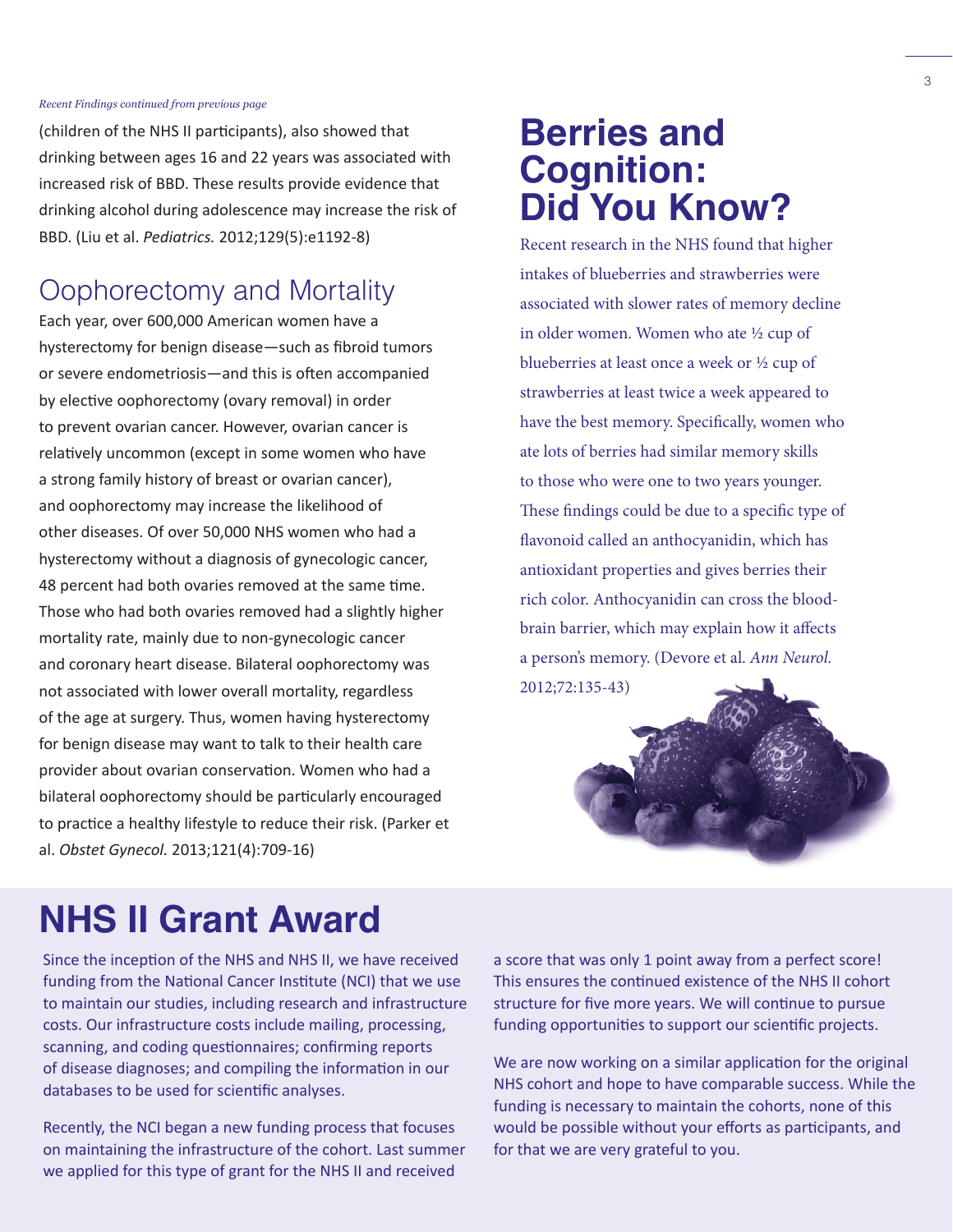#### *Recent Findings continued from previous page*

(children of the NHS II participants), also showed that drinking between ages 16 and 22 years was associated with increased risk of BBD. These results provide evidence that drinking alcohol during adolescence may increase the risk of BBD. (Liu et al. *Pediatrics.* 2012;129(5):e1192-8)

#### Oophorectomy and Mortality

Each year, over 600,000 American women have a hysterectomy for benign disease—such as fibroid tumors or severe endometriosis—and this is often accompanied by elective oophorectomy (ovary removal) in order to prevent ovarian cancer. However, ovarian cancer is relatively uncommon (except in some women who have a strong family history of breast or ovarian cancer), and oophorectomy may increase the likelihood of other diseases. Of over 50,000 NHS women who had a hysterectomy without a diagnosis of gynecologic cancer, 48 percent had both ovaries removed at the same time. Those who had both ovaries removed had a slightly higher mortality rate, mainly due to non-gynecologic cancer and coronary heart disease. Bilateral oophorectomy was not associated with lower overall mortality, regardless of the age at surgery. Thus, women having hysterectomy for benign disease may want to talk to their health care provider about ovarian conservation. Women who had a bilateral oophorectomy should be particularly encouraged to practice a healthy lifestyle to reduce their risk. (Parker et al. *Obstet Gynecol.* 2013;121(4):709-16)

## **Berries and Cognition: Did You Know?**

Recent research in the NHS found that higher intakes of blueberries and strawberries were associated with slower rates of memory decline in older women. Women who ate ½ cup of blueberries at least once a week or ½ cup of strawberries at least twice a week appeared to have the best memory. Specifically, women who ate lots of berries had similar memory skills to those who were one to two years younger. These findings could be due to a specific type of flavonoid called an anthocyanidin, which has antioxidant properties and gives berries their rich color. Anthocyanidin can cross the bloodbrain barrier, which may explain how it affects a person's memory. (Devore et al. *Ann Neurol.*  2012;72:135-43)



## **NHS II Grant Award**

Since the inception of the NHS and NHS II, we have received funding from the National Cancer Institute (NCI) that we use to maintain our studies, including research and infrastructure costs. Our infrastructure costs include mailing, processing, scanning, and coding questionnaires; confirming reports of disease diagnoses; and compiling the information in our databases to be used for scientific analyses.

Recently, the NCI began a new funding process that focuses on maintaining the infrastructure of the cohort. Last summer we applied for this type of grant for the NHS II and received

a score that was only 1 point away from a perfect score! This ensures the continued existence of the NHS II cohort structure for five more years. We will continue to pursue funding opportunities to support our scientific projects.

We are now working on a similar application for the original NHS cohort and hope to have comparable success. While the funding is necessary to maintain the cohorts, none of this would be possible without your efforts as participants, and for that we are very grateful to you.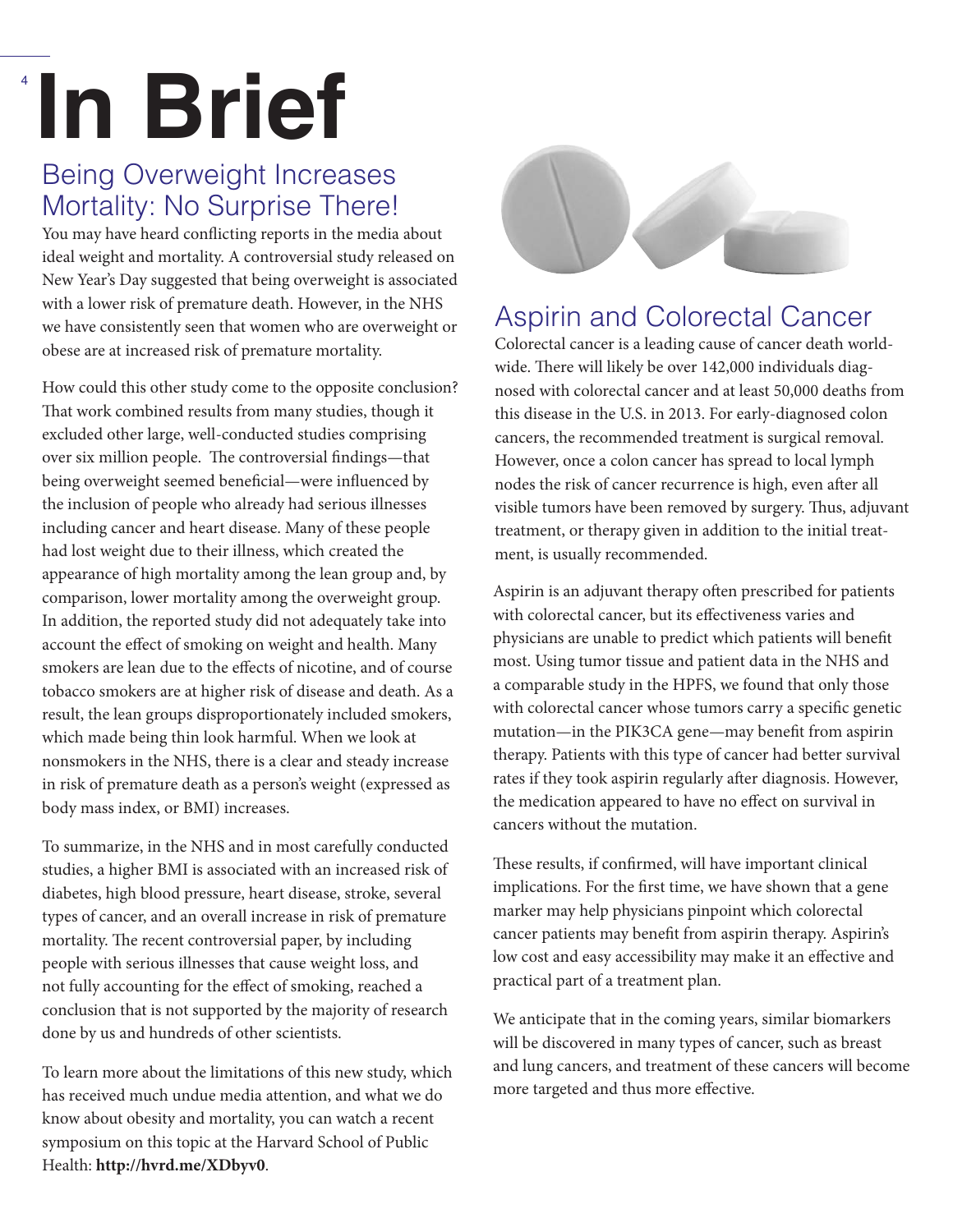## **In Brief**

4

### Being Overweight Increases Mortality: No Surprise There!

You may have heard conflicting reports in the media about ideal weight and mortality. A controversial study released on New Year's Day suggested that being overweight is associated with a lower risk of premature death. However, in the NHS we have consistently seen that women who are overweight or obese are at increased risk of premature mortality.

How could this other study come to the opposite conclusion? That work combined results from many studies, though it excluded other large, well-conducted studies comprising over six million people. The controversial findings—that being overweight seemed beneficial—were influenced by the inclusion of people who already had serious illnesses including cancer and heart disease. Many of these people had lost weight due to their illness, which created the appearance of high mortality among the lean group and, by comparison, lower mortality among the overweight group. In addition, the reported study did not adequately take into account the effect of smoking on weight and health. Many smokers are lean due to the effects of nicotine, and of course tobacco smokers are at higher risk of disease and death. As a result, the lean groups disproportionately included smokers, which made being thin look harmful. When we look at nonsmokers in the NHS, there is a clear and steady increase in risk of premature death as a person's weight (expressed as body mass index, or BMI) increases.

To summarize, in the NHS and in most carefully conducted studies, a higher BMI is associated with an increased risk of diabetes, high blood pressure, heart disease, stroke, several types of cancer, and an overall increase in risk of premature mortality. The recent controversial paper, by including people with serious illnesses that cause weight loss, and not fully accounting for the effect of smoking, reached a conclusion that is not supported by the majority of research done by us and hundreds of other scientists.

To learn more about the limitations of this new study, which has received much undue media attention, and what we do know about obesity and mortality, you can watch a recent symposium on this topic at the Harvard School of Public Health: **http://hvrd.me/XDbyv0**.



### Aspirin and Colorectal Cancer

Colorectal cancer is a leading cause of cancer death worldwide. There will likely be over 142,000 individuals diagnosed with colorectal cancer and at least 50,000 deaths from this disease in the U.S. in 2013. For early-diagnosed colon cancers, the recommended treatment is surgical removal. However, once a colon cancer has spread to local lymph nodes the risk of cancer recurrence is high, even after all visible tumors have been removed by surgery. Thus, adjuvant treatment, or therapy given in addition to the initial treatment, is usually recommended.

Aspirin is an adjuvant therapy often prescribed for patients with colorectal cancer, but its effectiveness varies and physicians are unable to predict which patients will benefit most. Using tumor tissue and patient data in the NHS and a comparable study in the HPFS, we found that only those with colorectal cancer whose tumors carry a specific genetic mutation—in the PIK3CA gene—may benefit from aspirin therapy. Patients with this type of cancer had better survival rates if they took aspirin regularly after diagnosis. However, the medication appeared to have no effect on survival in cancers without the mutation.

These results, if confirmed, will have important clinical implications. For the first time, we have shown that a gene marker may help physicians pinpoint which colorectal cancer patients may benefit from aspirin therapy. Aspirin's low cost and easy accessibility may make it an effective and practical part of a treatment plan.

We anticipate that in the coming years, similar biomarkers will be discovered in many types of cancer, such as breast and lung cancers, and treatment of these cancers will become more targeted and thus more effective.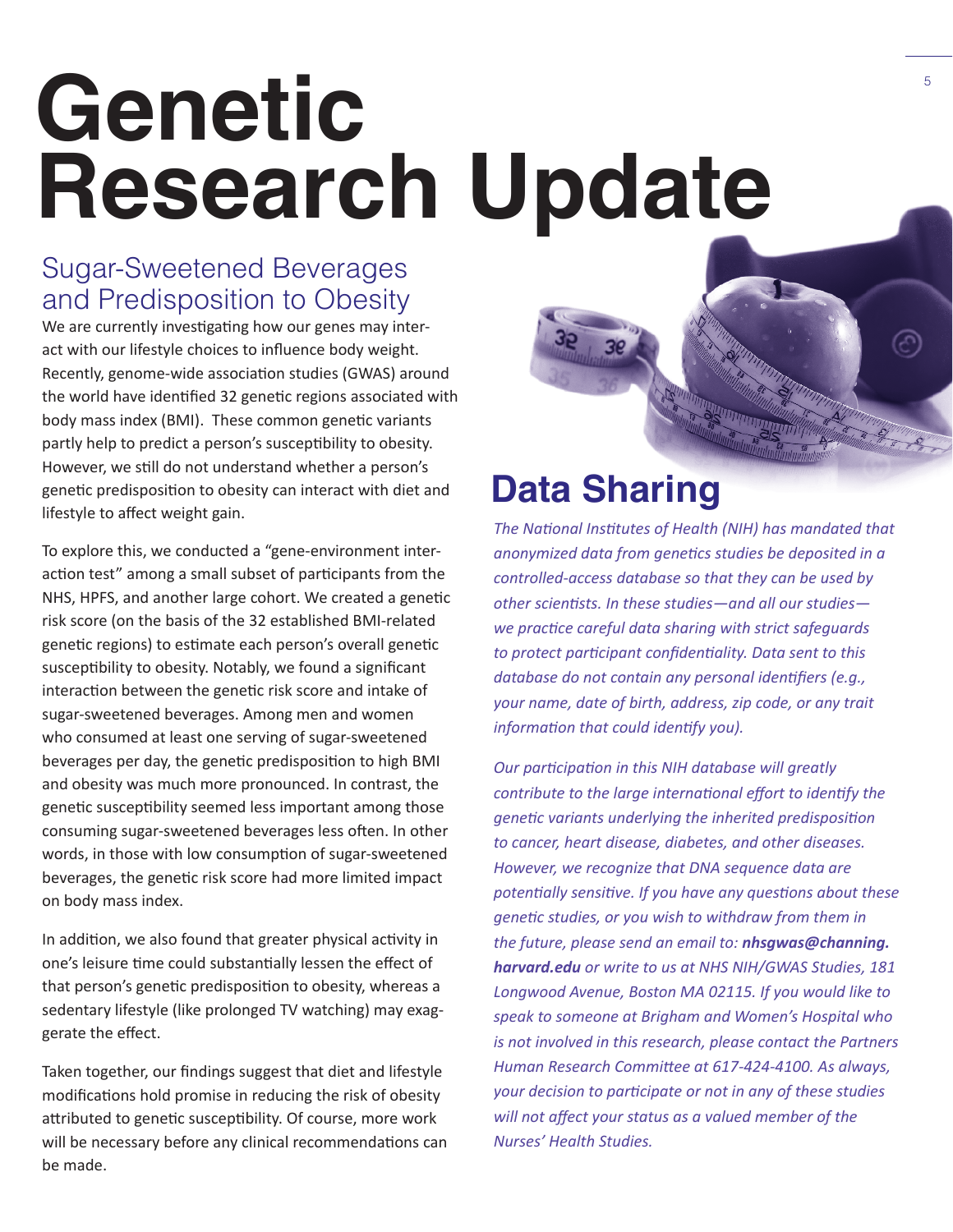## **Genetic Research Update**

### Sugar-Sweetened Beverages and Predisposition to Obesity

We are currently investigating how our genes may interact with our lifestyle choices to influence body weight. Recently, genome-wide association studies (GWAS) around the world have identified 32 genetic regions associated with body mass index (BMI). These common genetic variants partly help to predict a person's susceptibility to obesity. However, we still do not understand whether a person's genetic predisposition to obesity can interact with diet and lifestyle to affect weight gain.

To explore this, we conducted a "gene-environment interaction test" among a small subset of participants from the NHS, HPFS, and another large cohort. We created a genetic risk score (on the basis of the 32 established BMI-related genetic regions) to estimate each person's overall genetic susceptibility to obesity. Notably, we found a significant interaction between the genetic risk score and intake of sugar-sweetened beverages. Among men and women who consumed at least one serving of sugar-sweetened beverages per day, the genetic predisposition to high BMI and obesity was much more pronounced. In contrast, the genetic susceptibility seemed less important among those consuming sugar-sweetened beverages less often. In other words, in those with low consumption of sugar-sweetened beverages, the genetic risk score had more limited impact on body mass index.

In addition, we also found that greater physical activity in one's leisure time could substantially lessen the effect of that person's genetic predisposition to obesity, whereas a sedentary lifestyle (like prolonged TV watching) may exaggerate the effect.

Taken together, our findings suggest that diet and lifestyle modifications hold promise in reducing the risk of obesity attributed to genetic susceptibility. Of course, more work will be necessary before any clinical recommendations can be made.

## **Data Sharing**

*The National Institutes of Health (NIH) has mandated that anonymized data from genetics studies be deposited in a controlled-access database so that they can be used by other scientists. In these studies—and all our studies we practice careful data sharing with strict safeguards to protect participant confidentiality. Data sent to this database do not contain any personal identifiers (e.g., your name, date of birth, address, zip code, or any trait information that could identify you).*

*Our participation in this NIH database will greatly contribute to the large international effort to identify the genetic variants underlying the inherited predisposition to cancer, heart disease, diabetes, and other diseases. However, we recognize that DNA sequence data are potentially sensitive. If you have any questions about these genetic studies, or you wish to withdraw from them in the future, please send an email to: nhsgwas@channing. harvard.edu or write to us at NHS NIH/GWAS Studies, 181 Longwood Avenue, Boston MA 02115. If you would like to speak to someone at Brigham and Women's Hospital who is not involved in this research, please contact the Partners Human Research Committee at 617-424-4100. As always, your decision to participate or not in any of these studies will not affect your status as a valued member of the Nurses' Health Studies.*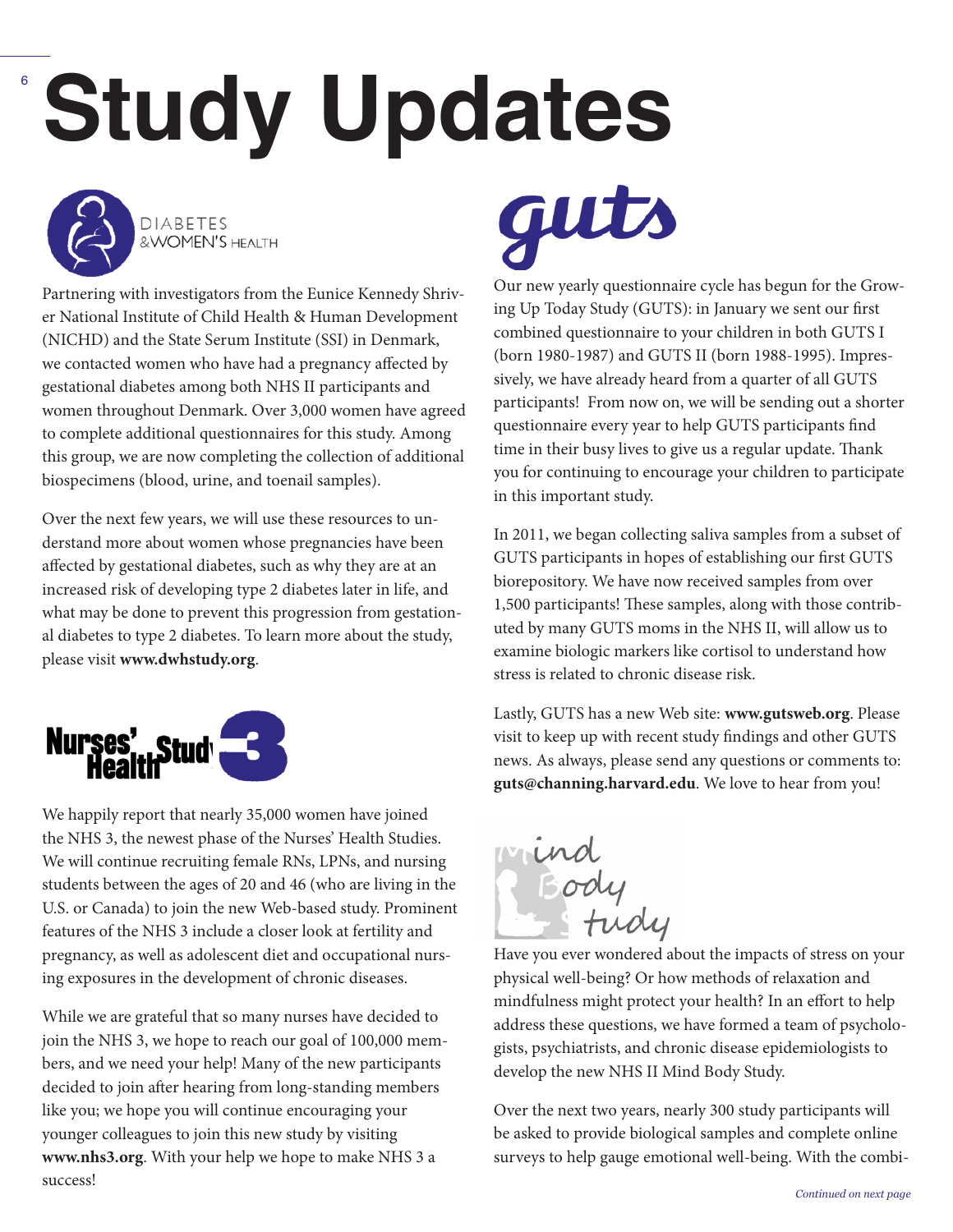# 6 **Study Updates**



**DIABETES** & WOMEN'S HEALTH

Partnering with investigators from the Eunice Kennedy Shriver National Institute of Child Health & Human Development (NICHD) and the State Serum Institute (SSI) in Denmark, we contacted women who have had a pregnancy affected by gestational diabetes among both NHS II participants and women throughout Denmark. Over 3,000 women have agreed to complete additional questionnaires for this study. Among this group, we are now completing the collection of additional biospecimens (blood, urine, and toenail samples).

Over the next few years, we will use these resources to understand more about women whose pregnancies have been affected by gestational diabetes, such as why they are at an increased risk of developing type 2 diabetes later in life, and what may be done to prevent this progression from gestational diabetes to type 2 diabetes. To learn more about the study, please visit **www.dwhstudy.org**.



We happily report that nearly 35,000 women have joined the NHS 3, the newest phase of the Nurses' Health Studies. We will continue recruiting female RNs, LPNs, and nursing students between the ages of 20 and 46 (who are living in the U.S. or Canada) to join the new Web-based study. Prominent features of the NHS 3 include a closer look at fertility and pregnancy, as well as adolescent diet and occupational nursing exposures in the development of chronic diseases.

While we are grateful that so many nurses have decided to join the NHS 3, we hope to reach our goal of 100,000 members, and we need your help! Many of the new participants decided to join after hearing from long-standing members like you; we hope you will continue encouraging your younger colleagues to join this new study by visiting **www.nhs3.org**. With your help we hope to make NHS 3 a success!

guts

Our new yearly questionnaire cycle has begun for the Growing Up Today Study (GUTS): in January we sent our first combined questionnaire to your children in both GUTS I (born 1980-1987) and GUTS II (born 1988-1995). Impressively, we have already heard from a quarter of all GUTS participants! From now on, we will be sending out a shorter questionnaire every year to help GUTS participants find time in their busy lives to give us a regular update. Thank you for continuing to encourage your children to participate in this important study.

In 2011, we began collecting saliva samples from a subset of GUTS participants in hopes of establishing our first GUTS biorepository. We have now received samples from over 1,500 participants! These samples, along with those contributed by many GUTS moms in the NHS II, will allow us to examine biologic markers like cortisol to understand how stress is related to chronic disease risk.

Lastly, GUTS has a new Web site: **www.gutsweb.org**. Please visit to keep up with recent study findings and other GUTS news. As always, please send any questions or comments to: **guts@channing.harvard.edu**. We love to hear from you!



Have you ever wondered about the impacts of stress on your physical well-being? Or how methods of relaxation and mindfulness might protect your health? In an effort to help address these questions, we have formed a team of psychologists, psychiatrists, and chronic disease epidemiologists to develop the new NHS II Mind Body Study.

Over the next two years, nearly 300 study participants will be asked to provide biological samples and complete online surveys to help gauge emotional well-being. With the combi-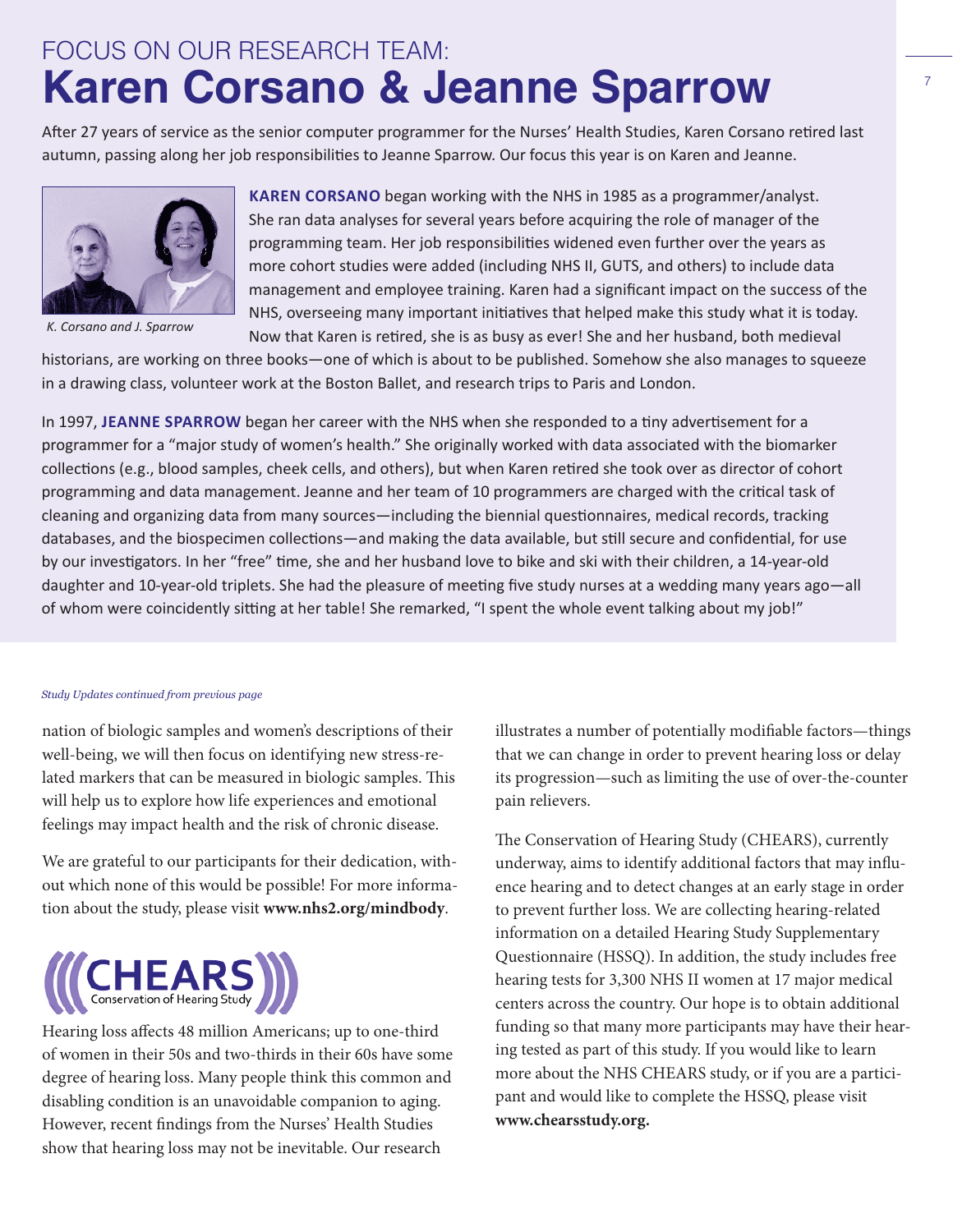## FOCUS ON OUR RESEARCH TEAM: **Karen Corsano & Jeanne Sparrow**

After 27 years of service as the senior computer programmer for the Nurses' Health Studies, Karen Corsano retired last autumn, passing along her job responsibilities to Jeanne Sparrow. Our focus this year is on Karen and Jeanne.



*K. Corsano and J. Sparrow*

**Karen Corsano** began working with the NHS in 1985 as a programmer/analyst. She ran data analyses for several years before acquiring the role of manager of the programming team. Her job responsibilities widened even further over the years as more cohort studies were added (including NHS II, GUTS, and others) to include data management and employee training. Karen had a significant impact on the success of the NHS, overseeing many important initiatives that helped make this study what it is today. Now that Karen is retired, she is as busy as ever! She and her husband, both medieval

historians, are working on three books—one of which is about to be published. Somehow she also manages to squeeze in a drawing class, volunteer work at the Boston Ballet, and research trips to Paris and London.

In 1997, **Jeanne Sparrow** began her career with the NHS when she responded to a tiny advertisement for a programmer for a "major study of women's health." She originally worked with data associated with the biomarker collections (e.g., blood samples, cheek cells, and others), but when Karen retired she took over as director of cohort programming and data management. Jeanne and her team of 10 programmers are charged with the critical task of cleaning and organizing data from many sources—including the biennial questionnaires, medical records, tracking databases, and the biospecimen collections—and making the data available, but still secure and confidential, for use by our investigators. In her "free" time, she and her husband love to bike and ski with their children, a 14-year-old daughter and 10-year-old triplets. She had the pleasure of meeting five study nurses at a wedding many years ago—all of whom were coincidently sitting at her table! She remarked, "I spent the whole event talking about my job!"

#### *Study Updates continued from previous page*

nation of biologic samples and women's descriptions of their well-being, we will then focus on identifying new stress-related markers that can be measured in biologic samples. This will help us to explore how life experiences and emotional feelings may impact health and the risk of chronic disease.

We are grateful to our participants for their dedication, without which none of this would be possible! For more information about the study, please visit **www.nhs2.org/mindbody**.



Hearing loss affects 48 million Americans; up to one-third of women in their 50s and two-thirds in their 60s have some degree of hearing loss. Many people think this common and disabling condition is an unavoidable companion to aging. However, recent findings from the Nurses' Health Studies show that hearing loss may not be inevitable. Our research

illustrates a number of potentially modifiable factors—things that we can change in order to prevent hearing loss or delay its progression—such as limiting the use of over-the-counter pain relievers.

The Conservation of Hearing Study (CHEARS), currently underway, aims to identify additional factors that may influence hearing and to detect changes at an early stage in order to prevent further loss. We are collecting hearing-related information on a detailed Hearing Study Supplementary Questionnaire (HSSQ). In addition, the study includes free hearing tests for 3,300 NHS II women at 17 major medical centers across the country. Our hope is to obtain additional funding so that many more participants may have their hearing tested as part of this study. If you would like to learn more about the NHS CHEARS study, or if you are a participant and would like to complete the HSSQ, please visit **www.chearsstudy.org.**